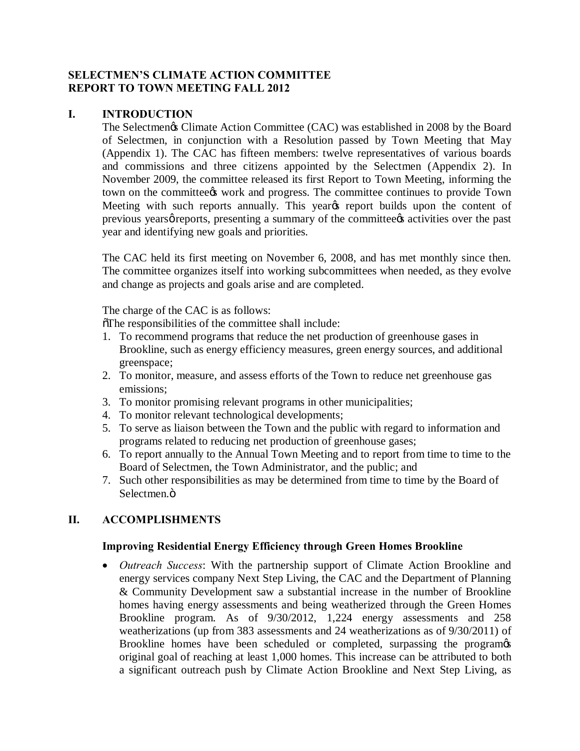### **SELECTMEN'S CLIMATE ACTION COMMITTEE REPORT TO TOWN MEETING FALL 2012**

#### **I. INTRODUCTION**

The Selectmengs Climate Action Committee (CAC) was established in 2008 by the Board of Selectmen, in conjunction with a Resolution passed by Town Meeting that May (Appendix 1). The CAC has fifteen members: twelve representatives of various boards and commissions and three citizens appointed by the Selectmen (Appendix 2). In November 2009, the committee released its first Report to Town Meeting, informing the town on the committee *work* and progress. The committee continues to provide Town Meeting with such reports annually. This yearys report builds upon the content of previous yearsø reports, presenting a summary of the committee  $\alpha$  activities over the past year and identifying new goals and priorities.

The CAC held its first meeting on November 6, 2008, and has met monthly since then. The committee organizes itself into working subcommittees when needed, as they evolve and change as projects and goals arise and are completed.

The charge of the CAC is as follows:

 $\delta$ The responsibilities of the committee shall include:

- 1. To recommend programs that reduce the net production of greenhouse gases in Brookline, such as energy efficiency measures, green energy sources, and additional greenspace;
- 2. To monitor, measure, and assess efforts of the Town to reduce net greenhouse gas emissions;
- 3. To monitor promising relevant programs in other municipalities;
- 4. To monitor relevant technological developments;
- 5. To serve as liaison between the Town and the public with regard to information and programs related to reducing net production of greenhouse gases;
- 6. To report annually to the Annual Town Meeting and to report from time to time to the Board of Selectmen, the Town Administrator, and the public; and
- 7. Such other responsibilities as may be determined from time to time by the Board of Selectmen.<sub>Ö</sub>

# **II. ACCOMPLISHMENTS**

#### **Improving Residential Energy Efficiency through Green Homes Brookline**

· *Outreach Success*: With the partnership support of Climate Action Brookline and energy services company Next Step Living, the CAC and the Department of Planning & Community Development saw a substantial increase in the number of Brookline homes having energy assessments and being weatherized through the Green Homes Brookline program. As of 9/30/2012, 1,224 energy assessments and 258 weatherizations (up from 383 assessments and 24 weatherizations as of 9/30/2011) of Brookline homes have been scheduled or completed, surpassing the programos original goal of reaching at least 1,000 homes. This increase can be attributed to both a significant outreach push by Climate Action Brookline and Next Step Living, as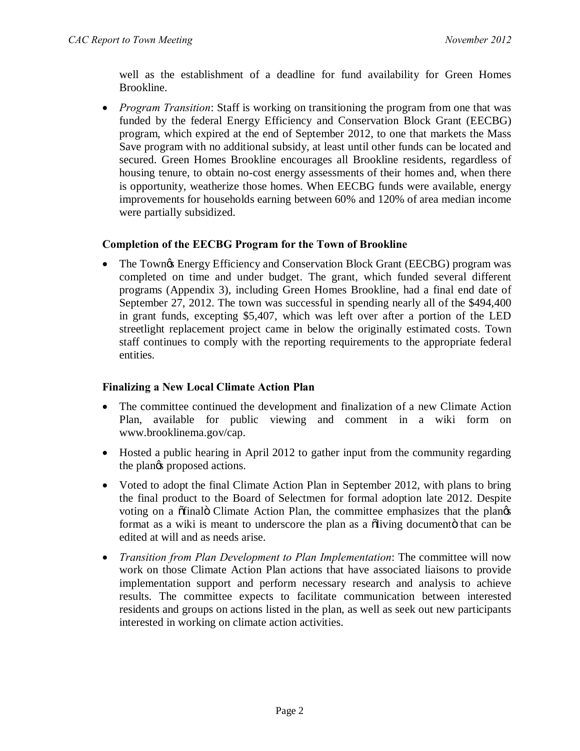well as the establishment of a deadline for fund availability for Green Homes Brookline.

· *Program Transition*: Staff is working on transitioning the program from one that was funded by the federal Energy Efficiency and Conservation Block Grant (EECBG) program, which expired at the end of September 2012, to one that markets the Mass Save program with no additional subsidy, at least until other funds can be located and secured. Green Homes Brookline encourages all Brookline residents, regardless of housing tenure, to obtain no-cost energy assessments of their homes and, when there is opportunity, weatherize those homes. When EECBG funds were available, energy improvements for households earning between 60% and 120% of area median income were partially subsidized.

# **Completion of the EECBG Program for the Town of Brookline**

• The Town $\circ$  Energy Efficiency and Conservation Block Grant (EECBG) program was completed on time and under budget. The grant, which funded several different programs (Appendix 3), including Green Homes Brookline, had a final end date of September 27, 2012. The town was successful in spending nearly all of the \$494,400 in grant funds, excepting \$5,407, which was left over after a portion of the LED streetlight replacement project came in below the originally estimated costs. Town staff continues to comply with the reporting requirements to the appropriate federal entities.

# **Finalizing a New Local Climate Action Plan**

- The committee continued the development and finalization of a new Climate Action Plan, available for public viewing and comment in a wiki form on www.brooklinema.gov/cap.
- Hosted a public hearing in April 2012 to gather input from the community regarding the plangs proposed actions.
- Voted to adopt the final Climate Action Plan in September 2012, with plans to bring the final product to the Board of Selectmen for formal adoption late 2012. Despite voting on a  $\tilde{\text{of}}$  final Climate Action Plan, the committee emphasizes that the plangs format as a wiki is meant to underscore the plan as a  $\delta$  diving document that can be edited at will and as needs arise.
- · *Transition from Plan Development to Plan Implementation*: The committee will now work on those Climate Action Plan actions that have associated liaisons to provide implementation support and perform necessary research and analysis to achieve results. The committee expects to facilitate communication between interested residents and groups on actions listed in the plan, as well as seek out new participants interested in working on climate action activities.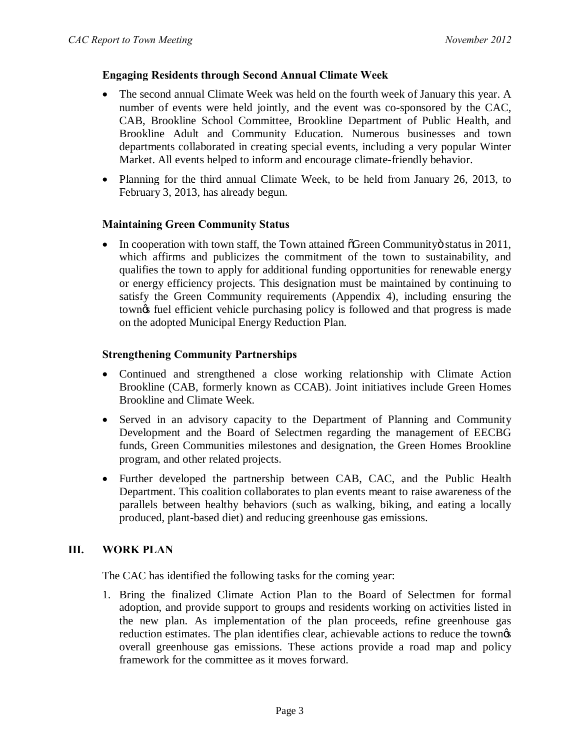### **Engaging Residents through Second Annual Climate Week**

- The second annual Climate Week was held on the fourth week of January this year. A number of events were held jointly, and the event was co-sponsored by the CAC, CAB, Brookline School Committee, Brookline Department of Public Health, and Brookline Adult and Community Education. Numerous businesses and town departments collaborated in creating special events, including a very popular Winter Market. All events helped to inform and encourage climate-friendly behavior.
- Planning for the third annual Climate Week, to be held from January 26, 2013, to February 3, 2013, has already begun.

#### **Maintaining Green Community Status**

 $\bullet$  In cooperation with town staff, the Town attained  $\delta$ Green Community ostatus in 2011, which affirms and publicizes the commitment of the town to sustainability, and qualifies the town to apply for additional funding opportunities for renewable energy or energy efficiency projects. This designation must be maintained by continuing to satisfy the Green Community requirements (Appendix 4), including ensuring the town's fuel efficient vehicle purchasing policy is followed and that progress is made on the adopted Municipal Energy Reduction Plan.

#### **Strengthening Community Partnerships**

- · Continued and strengthened a close working relationship with Climate Action Brookline (CAB, formerly known as CCAB). Joint initiatives include Green Homes Brookline and Climate Week.
- Served in an advisory capacity to the Department of Planning and Community Development and the Board of Selectmen regarding the management of EECBG funds, Green Communities milestones and designation, the Green Homes Brookline program, and other related projects.
- · Further developed the partnership between CAB, CAC, and the Public Health Department. This coalition collaborates to plan events meant to raise awareness of the parallels between healthy behaviors (such as walking, biking, and eating a locally produced, plant-based diet) and reducing greenhouse gas emissions.

# **III. WORK PLAN**

The CAC has identified the following tasks for the coming year:

1. Bring the finalized Climate Action Plan to the Board of Selectmen for formal adoption, and provide support to groups and residents working on activities listed in the new plan. As implementation of the plan proceeds, refine greenhouse gas reduction estimates. The plan identifies clear, achievable actions to reduce the townes overall greenhouse gas emissions. These actions provide a road map and policy framework for the committee as it moves forward.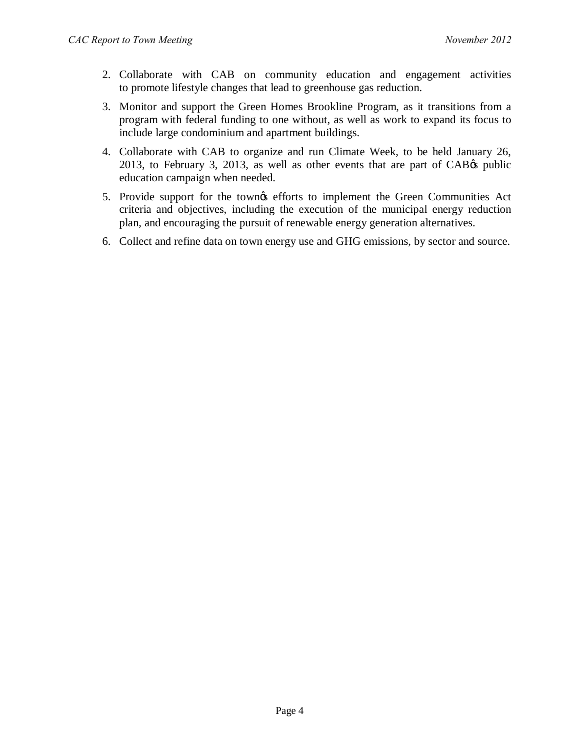- 2. Collaborate with CAB on community education and engagement activities to promote lifestyle changes that lead to greenhouse gas reduction.
- 3. Monitor and support the Green Homes Brookline Program, as it transitions from a program with federal funding to one without, as well as work to expand its focus to include large condominium and apartment buildings.
- 4. Collaborate with CAB to organize and run Climate Week, to be held January 26,  $2013$ , to February 3,  $2013$ , as well as other events that are part of CAB $\alpha$  public education campaign when needed.
- 5. Provide support for the town's efforts to implement the Green Communities Act criteria and objectives, including the execution of the municipal energy reduction plan, and encouraging the pursuit of renewable energy generation alternatives.
- 6. Collect and refine data on town energy use and GHG emissions, by sector and source.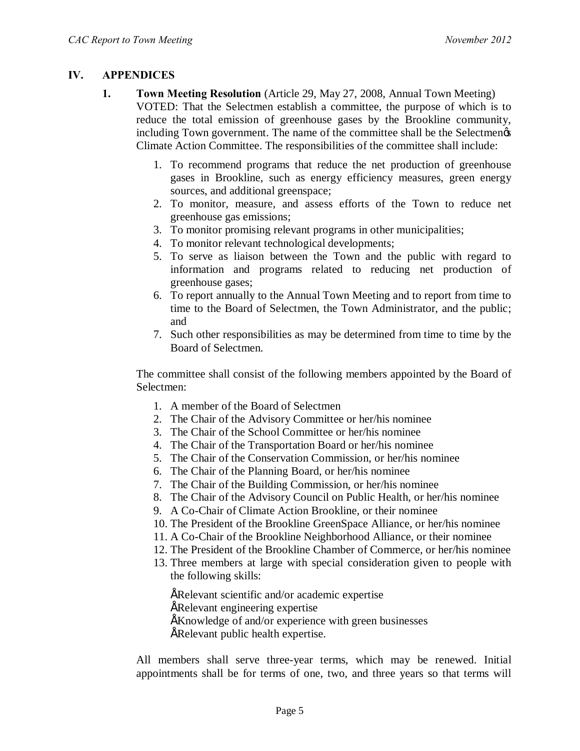## **IV. APPENDICES**

- **1. Town Meeting Resolution** (Article 29, May 27, 2008, Annual Town Meeting) VOTED: That the Selectmen establish a committee, the purpose of which is to reduce the total emission of greenhouse gases by the Brookline community, including Town government. The name of the committee shall be the Selectmen $\alpha$ Climate Action Committee. The responsibilities of the committee shall include:
	- 1. To recommend programs that reduce the net production of greenhouse gases in Brookline, such as energy efficiency measures, green energy sources, and additional greenspace;
	- 2. To monitor, measure, and assess efforts of the Town to reduce net greenhouse gas emissions;
	- 3. To monitor promising relevant programs in other municipalities;
	- 4. To monitor relevant technological developments;
	- 5. To serve as liaison between the Town and the public with regard to information and programs related to reducing net production of greenhouse gases;
	- 6. To report annually to the Annual Town Meeting and to report from time to time to the Board of Selectmen, the Town Administrator, and the public; and
	- 7. Such other responsibilities as may be determined from time to time by the Board of Selectmen.

The committee shall consist of the following members appointed by the Board of Selectmen:

- 1. A member of the Board of Selectmen
- 2. The Chair of the Advisory Committee or her/his nominee
- 3. The Chair of the School Committee or her/his nominee
- 4. The Chair of the Transportation Board or her/his nominee
- 5. The Chair of the Conservation Commission, or her/his nominee
- 6. The Chair of the Planning Board, or her/his nominee
- 7. The Chair of the Building Commission, or her/his nominee
- 8. The Chair of the Advisory Council on Public Health, or her/his nominee
- 9. A Co-Chair of Climate Action Brookline, or their nominee
- 10. The President of the Brookline GreenSpace Alliance, or her/his nominee
- 11. A Co-Chair of the Brookline Neighborhood Alliance, or their nominee
- 12. The President of the Brookline Chamber of Commerce, or her/his nominee
- 13. Three members at large with special consideration given to people with the following skills:

ERelevant scientific and/or academic expertise **ERelevant engineering expertise**  $EKnowledge$  of and/or experience with green businesses ERelevant public health expertise.

All members shall serve three-year terms, which may be renewed. Initial appointments shall be for terms of one, two, and three years so that terms will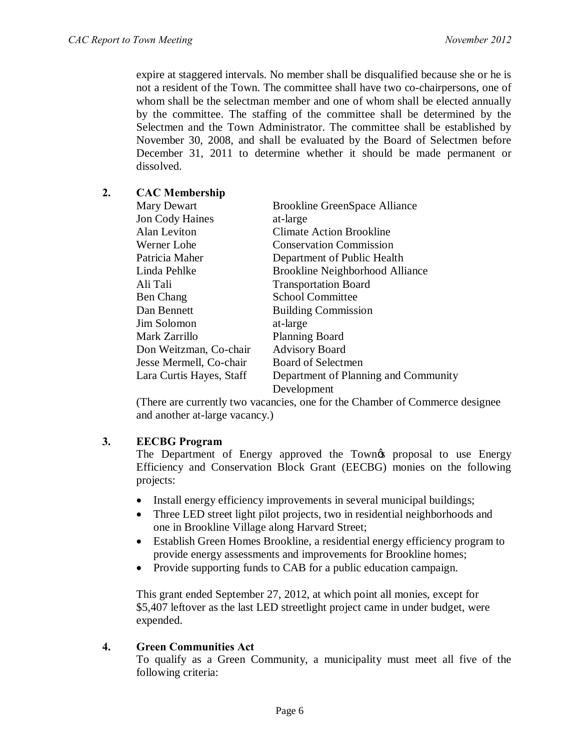expire at staggered intervals. No member shall be disqualified because she or he is not a resident of the Town. The committee shall have two co-chairpersons, one of whom shall be the selectman member and one of whom shall be elected annually by the committee. The staffing of the committee shall be determined by the Selectmen and the Town Administrator. The committee shall be established by November 30, 2008, and shall be evaluated by the Board of Selectmen before December 31, 2011 to determine whether it should be made permanent or dissolved.

## **2. CAC Membership**

| Mary Dewart              | <b>Brookline GreenSpace Alliance</b>   |
|--------------------------|----------------------------------------|
| Jon Cody Haines          | at-large                               |
| Alan Leviton             | <b>Climate Action Brookline</b>        |
| Werner Lohe              | <b>Conservation Commission</b>         |
| Patricia Maher           | Department of Public Health            |
| Linda Pehlke             | <b>Brookline Neighborhood Alliance</b> |
| Ali Tali                 | <b>Transportation Board</b>            |
| <b>Ben Chang</b>         | <b>School Committee</b>                |
| Dan Bennett              | <b>Building Commission</b>             |
| Jim Solomon              | at-large                               |
| Mark Zarrillo            | <b>Planning Board</b>                  |
| Don Weitzman, Co-chair   | <b>Advisory Board</b>                  |
| Jesse Mermell, Co-chair  | Board of Selectmen                     |
| Lara Curtis Hayes, Staff | Department of Planning and Community   |
|                          | Development                            |

(There are currently two vacancies, one for the Chamber of Commerce designee and another at-large vacancy.)

#### **3. EECBG Program**

The Department of Energy approved the Town of proposal to use Energy Efficiency and Conservation Block Grant (EECBG) monies on the following projects:

- Install energy efficiency improvements in several municipal buildings;
- Three LED street light pilot projects, two in residential neighborhoods and one in Brookline Village along Harvard Street;
- Establish Green Homes Brookline, a residential energy efficiency program to provide energy assessments and improvements for Brookline homes;
- Provide supporting funds to CAB for a public education campaign.

This grant ended September 27, 2012, at which point all monies, except for \$5,407 leftover as the last LED streetlight project came in under budget, were expended.

### **4. Green Communities Act**

To qualify as a Green Community, a municipality must meet all five of the following criteria: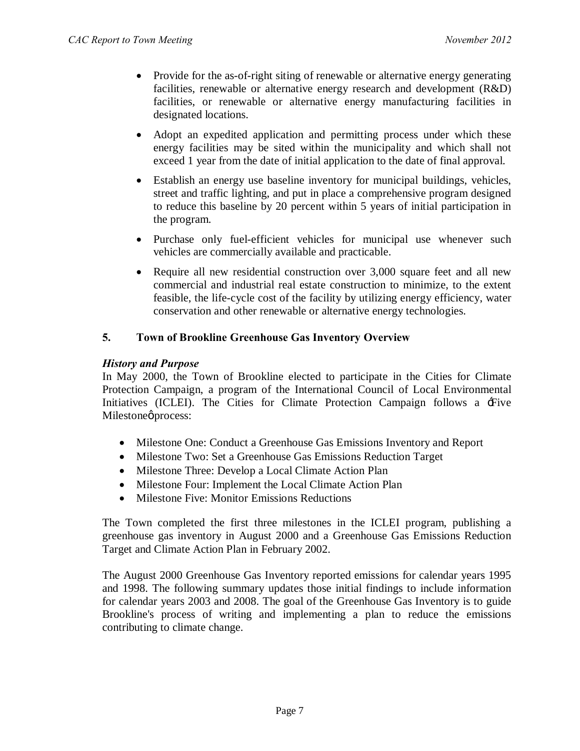- Provide for the as-of-right siting of renewable or alternative energy generating facilities, renewable or alternative energy research and development (R&D) facilities, or renewable or alternative energy manufacturing facilities in designated locations.
- Adopt an expedited application and permitting process under which these energy facilities may be sited within the municipality and which shall not exceed 1 year from the date of initial application to the date of final approval.
- · Establish an energy use baseline inventory for municipal buildings, vehicles, street and traffic lighting, and put in place a comprehensive program designed to reduce this baseline by 20 percent within 5 years of initial participation in the program.
- · Purchase only fuel-efficient vehicles for municipal use whenever such vehicles are commercially available and practicable.
- Require all new residential construction over 3,000 square feet and all new commercial and industrial real estate construction to minimize, to the extent feasible, the life-cycle cost of the facility by utilizing energy efficiency, water conservation and other renewable or alternative energy technologies.

# **5. Town of Brookline Greenhouse Gas Inventory Overview**

# *History and Purpose*

In May 2000, the Town of Brookline elected to participate in the Cities for Climate Protection Campaign, a program of the International Council of Local Environmental Initiatives (ICLEI). The Cities for Climate Protection Campaign follows a  $\pm$ ive Milestoneø process:

- · Milestone One: Conduct a Greenhouse Gas Emissions Inventory and Report
- · Milestone Two: Set a Greenhouse Gas Emissions Reduction Target
- Milestone Three: Develop a Local Climate Action Plan
- · Milestone Four: Implement the Local Climate Action Plan
- Milestone Five: Monitor Emissions Reductions

The Town completed the first three milestones in the ICLEI program, publishing a greenhouse gas inventory in August 2000 and a Greenhouse Gas Emissions Reduction Target and Climate Action Plan in February 2002.

The August 2000 Greenhouse Gas Inventory reported emissions for calendar years 1995 and 1998. The following summary updates those initial findings to include information for calendar years 2003 and 2008. The goal of the Greenhouse Gas Inventory is to guide Brookline's process of writing and implementing a plan to reduce the emissions contributing to climate change.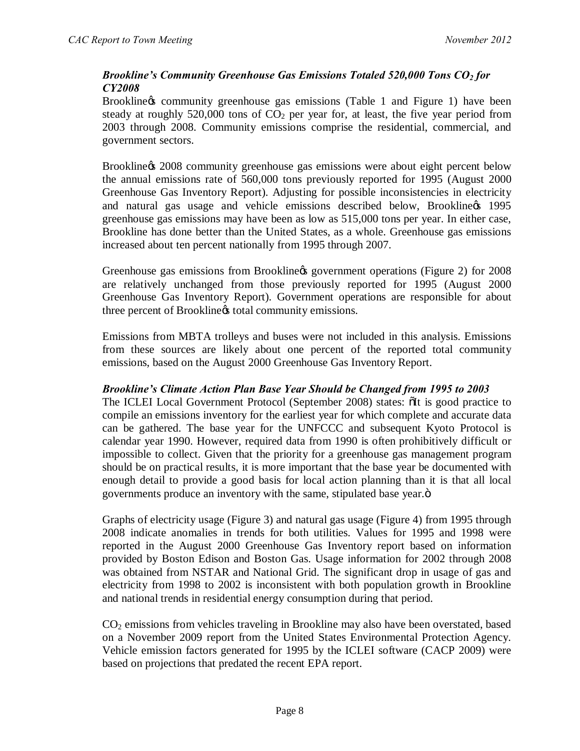# *Brookline's Community Greenhouse Gas Emissions Totaled 520,000 Tons CO2 for CY2008*

Brookline & community greenhouse gas emissions (Table 1 and Figure 1) have been steady at roughly 520,000 tons of  $CO<sub>2</sub>$  per year for, at least, the five year period from 2003 through 2008. Community emissions comprise the residential, commercial, and government sectors.

Brookline  $\alpha$  2008 community greenhouse gas emissions were about eight percent below the annual emissions rate of 560,000 tons previously reported for 1995 (August 2000 Greenhouse Gas Inventory Report). Adjusting for possible inconsistencies in electricity and natural gas usage and vehicle emissions described below, Brookline % 1995 greenhouse gas emissions may have been as low as 515,000 tons per year. In either case, Brookline has done better than the United States, as a whole. Greenhouse gas emissions increased about ten percent nationally from 1995 through 2007.

Greenhouse gas emissions from Brookline & government operations (Figure 2) for 2008 are relatively unchanged from those previously reported for 1995 (August 2000 Greenhouse Gas Inventory Report). Government operations are responsible for about three percent of Brookline total community emissions.

Emissions from MBTA trolleys and buses were not included in this analysis. Emissions from these sources are likely about one percent of the reported total community emissions, based on the August 2000 Greenhouse Gas Inventory Report.

# *Brookline's Climate Action Plan Base Year Should be Changed from 1995 to 2003*

The ICLEI Local Government Protocol (September 2008) states:  $\delta$ It is good practice to compile an emissions inventory for the earliest year for which complete and accurate data can be gathered. The base year for the UNFCCC and subsequent Kyoto Protocol is calendar year 1990. However, required data from 1990 is often prohibitively difficult or impossible to collect. Given that the priority for a greenhouse gas management program should be on practical results, it is more important that the base year be documented with enough detail to provide a good basis for local action planning than it is that all local governments produce an inventory with the same, stipulated base year. $\ddot{o}$ 

Graphs of electricity usage (Figure 3) and natural gas usage (Figure 4) from 1995 through 2008 indicate anomalies in trends for both utilities. Values for 1995 and 1998 were reported in the August 2000 Greenhouse Gas Inventory report based on information provided by Boston Edison and Boston Gas. Usage information for 2002 through 2008 was obtained from NSTAR and National Grid. The significant drop in usage of gas and electricity from 1998 to 2002 is inconsistent with both population growth in Brookline and national trends in residential energy consumption during that period.

 $CO<sub>2</sub>$  emissions from vehicles traveling in Brookline may also have been overstated, based on a November 2009 report from the United States Environmental Protection Agency. Vehicle emission factors generated for 1995 by the ICLEI software (CACP 2009) were based on projections that predated the recent EPA report.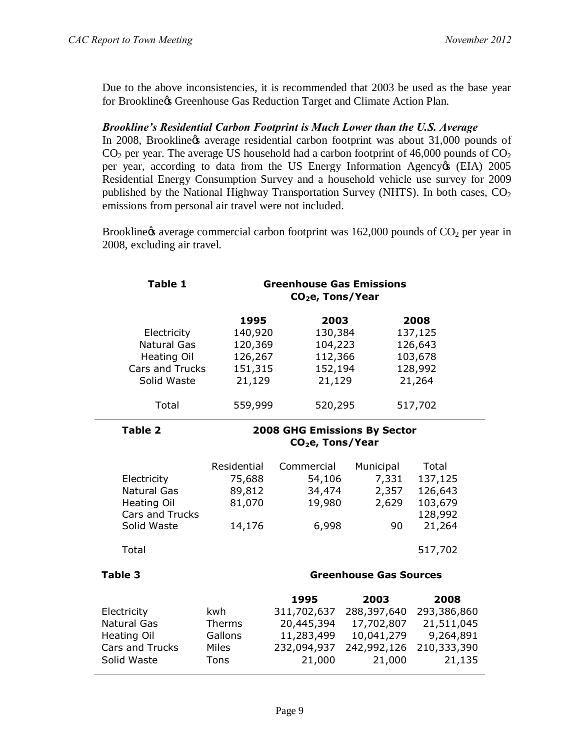Due to the above inconsistencies, it is recommended that 2003 be used as the base year for Brookline & Greenhouse Gas Reduction Target and Climate Action Plan.

### *Brookline's Residential Carbon Footprint is Much Lower than the U.S. Average*

In 2008, Brookline & average residential carbon footprint was about 31,000 pounds of  $CO<sub>2</sub>$  per year. The average US household had a carbon footprint of 46,000 pounds of  $CO<sub>2</sub>$ per year, according to data from the US Energy Information Agency (EIA) 2005 Residential Energy Consumption Survey and a household vehicle use survey for 2009 published by the National Highway Transportation Survey (NHTS). In both cases,  $CO<sub>2</sub>$ emissions from personal air travel were not included.

Brookline  $\alpha$  average commercial carbon footprint was 162,000 pounds of  $CO<sub>2</sub>$  per year in 2008, excluding air travel.

| <b>Table 1</b>         | <b>Greenhouse Gas Emissions</b><br>CO <sub>2</sub> e, Tons/Year |                              |             |             |
|------------------------|-----------------------------------------------------------------|------------------------------|-------------|-------------|
|                        | 1995                                                            | 2003                         |             | 2008        |
| Electricity            | 140,920                                                         | 130,384                      |             | 137,125     |
| <b>Natural Gas</b>     | 120,369                                                         | 104,223                      |             | 126,643     |
| Heating Oil            | 126,267                                                         | 112,366                      |             | 103,678     |
| Cars and Trucks        | 151,315                                                         | 152,194                      |             | 128,992     |
| Solid Waste            | 21,129                                                          | 21,129                       |             | 21,264      |
| Total                  | 559,999                                                         | 520,295                      |             | 517,702     |
| <b>Table 2</b>         | 2008 GHG Emissions By Sector                                    |                              |             |             |
|                        |                                                                 | CO <sub>2</sub> e, Tons/Year |             |             |
|                        | Residential                                                     | Commercial                   | Municipal   | Total       |
| Electricity            | 75,688                                                          | 54,106                       | 7,331       | 137,125     |
| <b>Natural Gas</b>     | 89,812                                                          | 34,474                       | 2,357       | 126,643     |
| <b>Heating Oil</b>     | 81,070                                                          | 19,980                       | 2,629       | 103,679     |
| <b>Cars and Trucks</b> |                                                                 |                              |             | 128,992     |
| Solid Waste            | 14,176                                                          | 6,998                        | 90          | 21,264      |
| Total                  |                                                                 |                              |             | 517,702     |
| Table 3                | <b>Greenhouse Gas Sources</b>                                   |                              |             |             |
|                        |                                                                 | 1995                         | 2003        | 2008        |
| Electricity            | kwh                                                             | 311,702,637                  | 288,397,640 | 293,386,860 |
| <b>Natural Gas</b>     | <b>Therms</b>                                                   | 20,445,394                   | 17,702,807  | 21,511,045  |
| <b>Heating Oil</b>     | Gallons                                                         | 11,283,499                   | 10,041,279  | 9,264,891   |
| <b>Cars and Trucks</b> | Miles                                                           | 232,094,937                  | 242,992,126 | 210,333,390 |
| Solid Waste            | Tons                                                            | 21,000                       | 21,000      | 21,135      |
|                        |                                                                 |                              |             |             |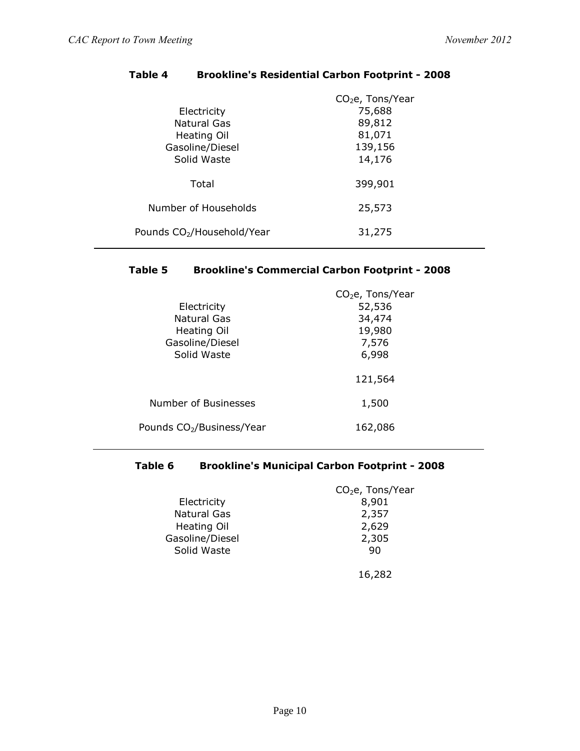|                                        | $CO2e$ , Tons/Year |
|----------------------------------------|--------------------|
| Electricity                            | 75,688             |
| <b>Natural Gas</b>                     | 89,812             |
| Heating Oil                            | 81,071             |
| Gasoline/Diesel                        | 139,156            |
| Solid Waste                            | 14,176             |
|                                        |                    |
| Total                                  | 399,901            |
|                                        |                    |
| Number of Households                   | 25,573             |
|                                        |                    |
| Pounds CO <sub>2</sub> /Household/Year | 31,275             |
|                                        |                    |

# **Table 4 Brookline's Residential Carbon Footprint - 2008**

# **Table 5 Brookline's Commercial Carbon Footprint - 2008**

|                                       | $CO2e$ , Tons/Year |
|---------------------------------------|--------------------|
| Electricity                           | 52,536             |
| Natural Gas                           | 34,474             |
| <b>Heating Oil</b>                    | 19,980             |
| Gasoline/Diesel                       | 7,576              |
| Solid Waste                           | 6,998              |
|                                       | 121,564            |
| Number of Businesses                  | 1,500              |
| Pounds CO <sub>2</sub> /Business/Year | 162,086            |

# **Table 6 Brookline's Municipal Carbon Footprint - 2008**

|                    | CO <sub>2</sub> e, Tons/Year |
|--------------------|------------------------------|
| Electricity        | 8,901                        |
| <b>Natural Gas</b> | 2,357                        |
| Heating Oil        | 2,629                        |
| Gasoline/Diesel    | 2,305                        |
| Solid Waste        | 90                           |
|                    |                              |
|                    |                              |

16,282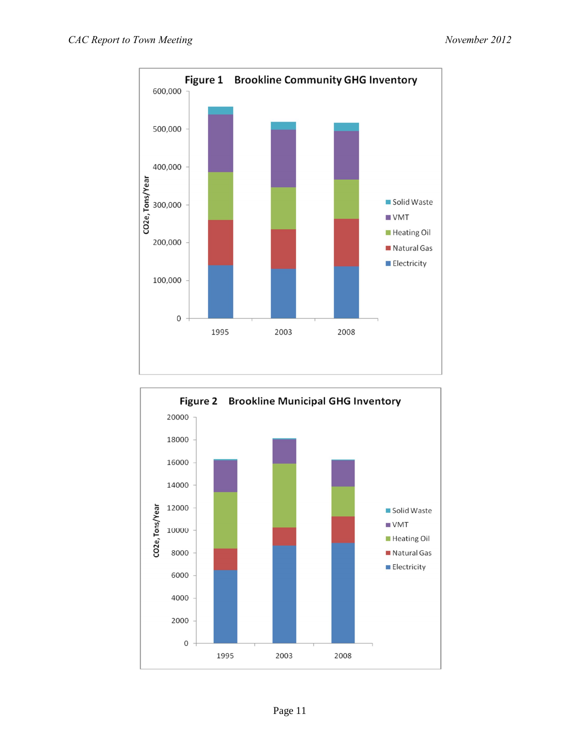